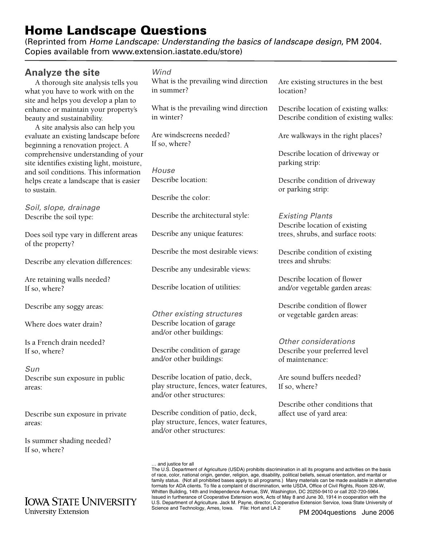## **Home Landscape Questions**

(Reprinted from *[Home Landscape: Understanding the basics of landscape design](http://www.extension.iastate.edu/store)*, PM 2004. Copies available from www.extension.iastate.edu/store)

## **Analyze the site**

A thorough site analysis tells you what you have to work with on the site and helps you develop a plan to enhance or maintain your property's beauty and sustainability.

A site analysis also can help you evaluate an existing landscape before beginning a renovation project. A comprehensive understanding of your site identifies existing light, moisture, and soil conditions. This information helps create a landscape that is easier to sustain.

*Soil, slope, drainage* Describe the soil type:

Does soil type vary in different areas of the property?

Describe any elevation differences:

Are retaining walls needed? If so, where?

Describe any soggy areas:

Where does water drain?

Is a French drain needed? If so, where?

*Sun* Describe sun exposure in public areas:

Describe sun exposure in private areas:

Is summer shading needed? If so, where?

## **IOWA STATE UNIVERSITY University Extension**

What is the prevailing wind direction in summer?

What is the prevailing wind direction in winter?

Are windscreens needed? If so, where?

*House* Describe location:

Describe the color:

Describe the architectural style:

Describe any unique features:

Describe the most desirable views:

Describe any undesirable views:

Describe location of utilities:

*Other existing structures* Describe location of garage and/or other buildings:

Describe condition of garage and/or other buildings:

Describe location of patio, deck, play structure, fences, water features, and/or other structures:

Describe condition of patio, deck, play structure, fences, water features, and/or other structures:

Are existing structures in the best location?

Describe location of existing walks: Describe condition of existing walks:

Are walkways in the right places?

Describe location of driveway or parking strip:

Describe condition of driveway or parking strip:

*Existing Plants* Describe location of existing trees, shrubs, and surface roots:

Describe condition of existing trees and shrubs:

Describe location of flower and/or vegetable garden areas:

Describe condition of flower or vegetable garden areas:

*Other considerations* Describe your preferred level of maintenance:

Are sound buffers needed? If so, where?

Describe other conditions that affect use of yard area:

<sup>…</sup> and justice for all

The U.S. Department of Agriculture (USDA) prohibits discrimination in all its programs and activities on the basis of race, color, national origin, gender, religion, age, disability, political beliefs, sexual orientation, and marital or family status. (Not all prohibited bases apply to all programs.) Many materials can be made available in alternative formats for ADA clients. To file a complaint of discrimination, write USDA, Office of Civil Rights, Room 326-W, Whitten Building, 14th and Independence Avenue, SW, Washington, DC 20250-9410 or call 202-720-5964. Issued in furtherance of Cooperative Extension work, Acts of May 8 and June 30, 1914 in cooperation with the U.S. Department of Agriculture. Jack M. Payne, director, Cooperative Extension Service, Iowa State University of Science and Technology, Ames, Iowa. File: Hort and LA 2